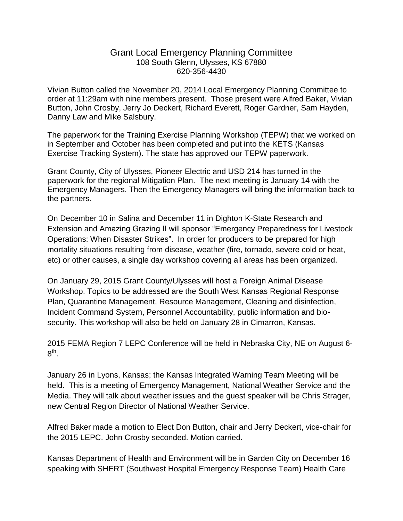## Grant Local Emergency Planning Committee 108 South Glenn, Ulysses, KS 67880 620-356-4430

Vivian Button called the November 20, 2014 Local Emergency Planning Committee to order at 11:29am with nine members present. Those present were Alfred Baker, Vivian Button, John Crosby, Jerry Jo Deckert, Richard Everett, Roger Gardner, Sam Hayden, Danny Law and Mike Salsbury.

The paperwork for the Training Exercise Planning Workshop (TEPW) that we worked on in September and October has been completed and put into the KETS (Kansas Exercise Tracking System). The state has approved our TEPW paperwork.

Grant County, City of Ulysses, Pioneer Electric and USD 214 has turned in the paperwork for the regional Mitigation Plan. The next meeting is January 14 with the Emergency Managers. Then the Emergency Managers will bring the information back to the partners.

On December 10 in Salina and December 11 in Dighton K-State Research and Extension and Amazing Grazing II will sponsor "Emergency Preparedness for Livestock Operations: When Disaster Strikes". In order for producers to be prepared for high mortality situations resulting from disease, weather (fire, tornado, severe cold or heat, etc) or other causes, a single day workshop covering all areas has been organized.

On January 29, 2015 Grant County/Ulysses will host a Foreign Animal Disease Workshop. Topics to be addressed are the South West Kansas Regional Response Plan, Quarantine Management, Resource Management, Cleaning and disinfection, Incident Command System, Personnel Accountability, public information and biosecurity. This workshop will also be held on January 28 in Cimarron, Kansas.

2015 FEMA Region 7 LEPC Conference will be held in Nebraska City, NE on August 6-  $8^{\sf th}.$ 

January 26 in Lyons, Kansas; the Kansas Integrated Warning Team Meeting will be held. This is a meeting of Emergency Management, National Weather Service and the Media. They will talk about weather issues and the guest speaker will be Chris Strager, new Central Region Director of National Weather Service.

Alfred Baker made a motion to Elect Don Button, chair and Jerry Deckert, vice-chair for the 2015 LEPC. John Crosby seconded. Motion carried.

Kansas Department of Health and Environment will be in Garden City on December 16 speaking with SHERT (Southwest Hospital Emergency Response Team) Health Care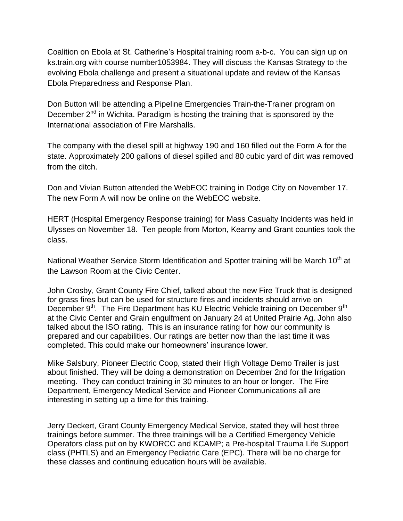Coalition on Ebola at St. Catherine's Hospital training room a-b-c. You can sign up on ks.train.org with course number1053984. They will discuss the Kansas Strategy to the evolving Ebola challenge and present a situational update and review of the Kansas Ebola Preparedness and Response Plan.

Don Button will be attending a Pipeline Emergencies Train-the-Trainer program on December  $2<sup>nd</sup>$  in Wichita. Paradigm is hosting the training that is sponsored by the International association of Fire Marshalls.

The company with the diesel spill at highway 190 and 160 filled out the Form A for the state. Approximately 200 gallons of diesel spilled and 80 cubic yard of dirt was removed from the ditch.

Don and Vivian Button attended the WebEOC training in Dodge City on November 17. The new Form A will now be online on the WebEOC website.

HERT (Hospital Emergency Response training) for Mass Casualty Incidents was held in Ulysses on November 18. Ten people from Morton, Kearny and Grant counties took the class.

National Weather Service Storm Identification and Spotter training will be March 10<sup>th</sup> at the Lawson Room at the Civic Center.

John Crosby, Grant County Fire Chief, talked about the new Fire Truck that is designed for grass fires but can be used for structure fires and incidents should arrive on December 9<sup>th</sup>. The Fire Department has KU Electric Vehicle training on December 9<sup>th</sup> at the Civic Center and Grain engulfment on January 24 at United Prairie Ag. John also talked about the ISO rating. This is an insurance rating for how our community is prepared and our capabilities. Our ratings are better now than the last time it was completed. This could make our homeowners' insurance lower.

Mike Salsbury, Pioneer Electric Coop, stated their High Voltage Demo Trailer is just about finished. They will be doing a demonstration on December 2nd for the Irrigation meeting. They can conduct training in 30 minutes to an hour or longer. The Fire Department, Emergency Medical Service and Pioneer Communications all are interesting in setting up a time for this training.

Jerry Deckert, Grant County Emergency Medical Service, stated they will host three trainings before summer. The three trainings will be a Certified Emergency Vehicle Operators class put on by KWORCC and KCAMP; a Pre-hospital Trauma Life Support class (PHTLS) and an Emergency Pediatric Care (EPC). There will be no charge for these classes and continuing education hours will be available.